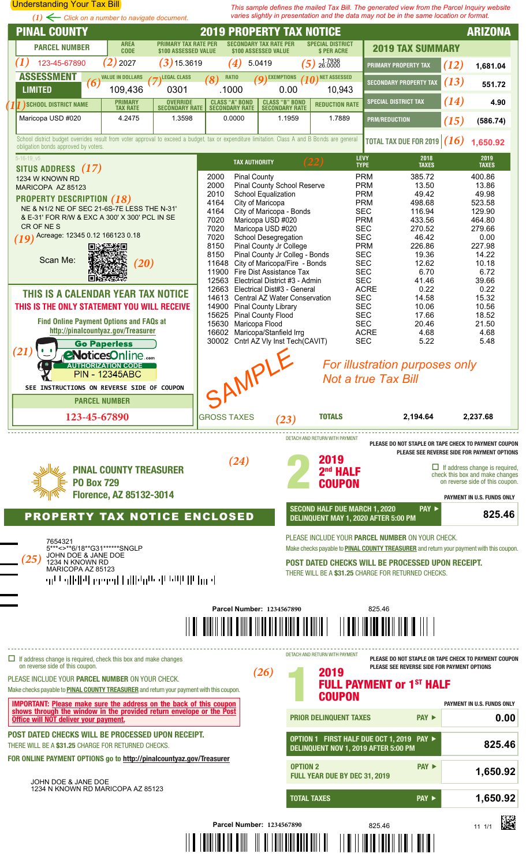<span id="page-0-0"></span>

I II<mark>I o III</mark> o Divil - III o <mark>di i ovin divil divil di</mark>vi i **d**i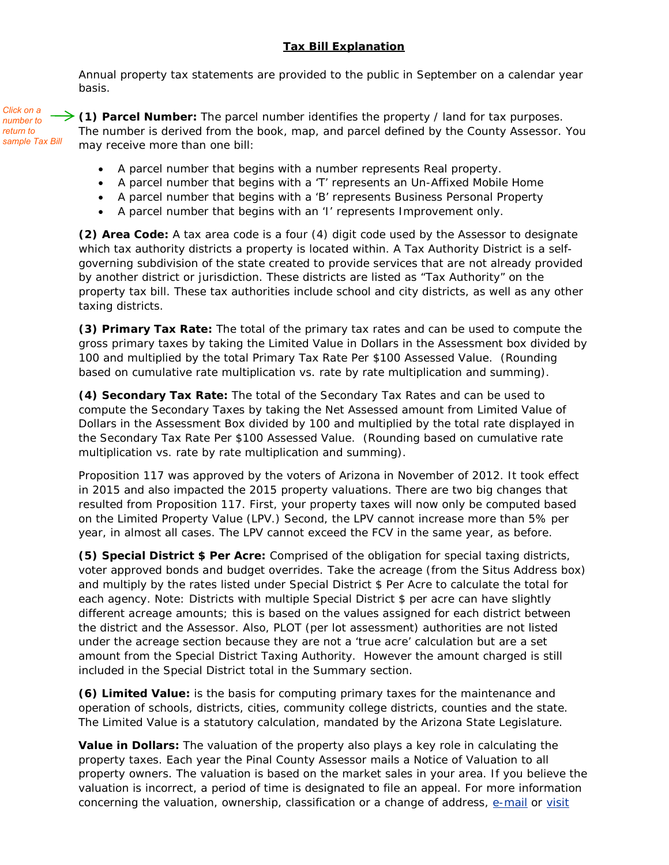## **Tax Bill Explanation**

<span id="page-1-0"></span>Annual property tax statements are provided to the public in September on a calendar year basis.

*Click on a number to return to sample Tax Bill*

**[\(1\)](#page-0-0) Parcel Number:** The parcel number identifies the property / land for tax purposes. The number is derived from the book, map, and parcel defined by the County Assessor. You may receive more than one bill:

- A parcel number that begins with a number represents Real property.
- A parcel number that begins with a 'T' represents an Un-Affixed Mobile Home
- A parcel number that begins with a 'B' represents Business Personal Property
- A parcel number that begins with an 'I' represents Improvement only.

**[\(2\)](#page-0-0) Area Code:** A tax area code is a four (4) digit code used by the Assessor to designate which tax authority districts a property is located within. A Tax Authority District is a selfgoverning subdivision of the state created to provide services that are not already provided by another district or jurisdiction. These districts are listed as "Tax Authority" on the property tax bill. These tax authorities include school and city districts, as well as any other taxing districts.

**[\(3\)](#page-0-0) Primary Tax Rate:** The total of the primary tax rates and can be used to compute the gross primary taxes by taking the Limited Value in Dollars in the Assessment box divided by 100 and multiplied by the total Primary Tax Rate Per \$100 Assessed Value. (Rounding based on cumulative rate multiplication vs. rate by rate multiplication and summing).

**[\(4\)](#page-0-0) Secondary Tax Rate:** The total of the Secondary Tax Rates and can be used to compute the Secondary Taxes by taking the Net Assessed amount from Limited Value of Dollars in the Assessment Box divided by 100 and multiplied by the total rate displayed in the Secondary Tax Rate Per \$100 Assessed Value. (Rounding based on cumulative rate multiplication vs. rate by rate multiplication and summing).

Proposition 117 was approved by the voters of Arizona in November of 2012. It took effect in 2015 and also impacted the 2015 property valuations. There are two big changes that resulted from Proposition 117. First, your property taxes will now only be computed based on the Limited Property Value (LPV.) Second, the LPV cannot increase more than 5% per year, in almost all cases. The LPV cannot exceed the FCV in the same year, as before.

**[\(5\)](#page-0-0) Special District \$ Per Acre:** Comprised of the obligation for special taxing districts, voter approved bonds and budget overrides. Take the acreage (from the Situs Address box) and multiply by the rates listed under Special District \$ Per Acre to calculate the total for each agency. Note: Districts with multiple Special District \$ per acre can have slightly different acreage amounts; this is based on the values assigned for each district between the district and the Assessor. Also, PLOT (per lot assessment) authorities are not listed under the acreage section because they are not a 'true acre' calculation but are a set amount from the Special District Taxing Authority. However the amount charged is still included in the Special District total in the Summary section.

**[\(6\)](#page-0-0) Limited Value:** is the basis for computing primary taxes for the maintenance and operation of schools, districts, cities, community college districts, counties and the state. The Limited Value is a statutory calculation, mandated by the Arizona State Legislature.

**Value in Dollars:** The valuation of the property also plays a key role in calculating the property taxes. Each year the Pinal County Assessor mails a Notice of Valuation to all property owners. The valuation is based on the market sales in your area. If you believe the valuation is incorrect, a period of time is designated to file an appeal. For more information concerning the valuation, ownership, classification or a change of address, [e-mail](mailto:Assessor@pinalcountyaz.gov) or visit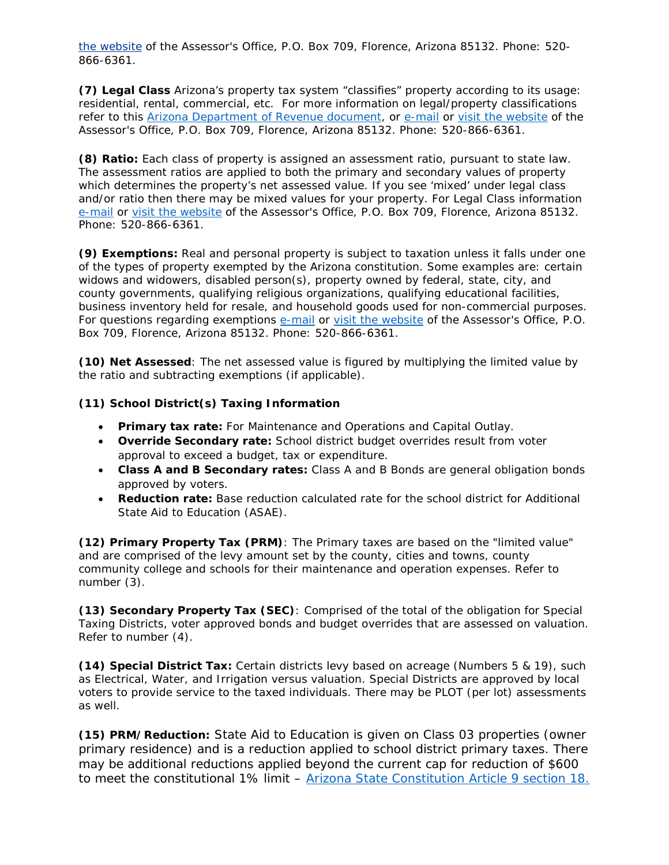<span id="page-2-0"></span>[the website](http://pinalcountyaz.gov/Assessor/Pages/home.aspx) of the Assessor's Office, P.O. Box 709, Florence, Arizona 85132. Phone: 520- 866-6361.

**[\(7\)](#page-0-0) Legal Class** Arizona's property tax system "classifies" property according to its usage: residential, rental, commercial, etc. For more information on legal/property classifications refer to this [Arizona Department of Revenue document,](https://azdor.gov/sites/default/files/media/PROPERTY_AssessmentPart3Ch1.pdf) or [e-mail](mailto:Assessor@pinalcountyaz.gov) or [visit the website](http://pinalcountyaz.gov/Assessor/Pages/home.aspx) of the Assessor's Office, P.O. Box 709, Florence, Arizona 85132. Phone: 520-866-6361.

**[\(8\)](#page-0-0) Ratio:** Each class of property is assigned an assessment ratio, pursuant to state law. The assessment ratios are applied to both the primary and secondary values of property which determines the property's net assessed value. If you see 'mixed' under legal class and/or ratio then there may be mixed values for your property. For Legal Class information [e-mail](mailto:Assessor@pinalcountyaz.gov) or [visit the website](http://pinalcountyaz.gov/Assessor/Pages/home.aspx) of the Assessor's Office, P.O. Box 709, Florence, Arizona 85132. Phone: 520-866-6361.

**[\(9\)](#page-0-0) Exemptions:** Real and personal property is subject to taxation unless it falls under one of the types of property exempted by the Arizona constitution. Some examples are: certain widows and widowers, disabled person(s), property owned by federal, state, city, and county governments, qualifying religious organizations, qualifying educational facilities, business inventory held for resale, and household goods used for non-commercial purposes. For questions regarding exemptions [e-mail](mailto:Assessor@pinalcountyaz.gov) or [visit the website](http://pinalcountyaz.gov/Assessor/Pages/home.aspx) of the Assessor's Office, P.O. Box 709, Florence, Arizona 85132. Phone: 520-866-6361.

**[\(10\)](#page-0-0) Net Assessed**: The net assessed value is figured by multiplying the limited value by the ratio and subtracting exemptions (if applicable).

## **[\(11\)](#page-0-0) School District(s) Taxing Information**

- **Primary tax rate:** For Maintenance and Operations and Capital Outlay.
- **Override Secondary rate:** School district budget overrides result from voter approval to exceed a budget, tax or expenditure.
- **Class A and B Secondary rates:** Class A and B Bonds are general obligation bonds approved by voters.
- **Reduction rate:** Base reduction calculated rate for the school district for Additional State Aid to Education (ASAE).

**[\(12\)](#page-0-0) Primary Property Tax (PRM)**: The Primary taxes are based on the "limited value" and are comprised of the levy amount set by the county, cities and towns, county community college and schools for their maintenance and operation expenses. Refer to number (3).

**[\(13\)](#page-0-0) Secondary Property Tax (SEC)**: Comprised of the total of the obligation for Special Taxing Districts, voter approved bonds and budget overrides that are assessed on valuation. Refer to number (4).

**[\(14\)](#page-0-0) Special District Tax:** Certain districts levy based on acreage (Numbers 5 & 19), such as Electrical, Water, and Irrigation versus valuation. Special Districts are approved by local voters to provide service to the taxed individuals. There may be PLOT (per lot) assessments as well.

**[\(15\)](#page-0-0) PRM/Reduction:** State Aid to Education is given on Class 03 properties (owner primary residence) and is a reduction applied to school district primary taxes. There may be additional reductions applied beyond the current cap for reduction of \$600 to meet the constitutional 1% limit – [Arizona State Constitution Article 9 section 18.](http://www.azleg.gov/viewDocument/?docName=http://www.azleg.gov/const/9/18.htm)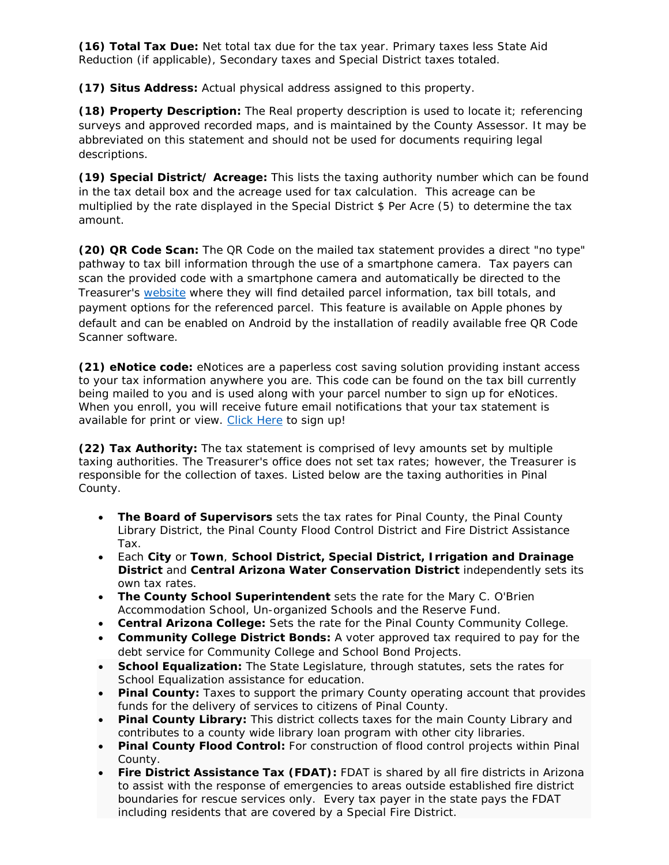<span id="page-3-0"></span>**[\(16\)](#page-0-0) Total Tax Due:** Net total tax due for the tax year. Primary taxes less State Aid Reduction (if applicable), Secondary taxes and Special District taxes totaled.

**[\(17\)](#page-0-0) Situs Address:** Actual physical address assigned to this property.

**[\(18\)](#page-0-0) Property Description:** The Real property description is used to locate it; referencing surveys and approved recorded maps, and is maintained by the County Assessor. It may be abbreviated on this statement and should not be used for documents requiring legal descriptions.

**[\(19\)](#page-0-0) Special District/ Acreage:** This lists the taxing authority number which can be found in the tax detail box and the acreage used for tax calculation. This acreage can be multiplied by the rate displayed in the Special District \$ Per Acre (5) to determine the tax amount.

**[\(20\)](#page-0-0) QR Code Scan:** The QR Code on the mailed tax statement provides a direct "no type" pathway to tax bill information through the use of a smartphone camera. Tax payers can scan the provided code with a smartphone camera and automatically be directed to the Treasurer's [website](https://treasurer.pinalcountyaz.gov/ParcelInquiry/) where they will find detailed parcel information, tax bill totals, and payment options for the referenced parcel. This feature is available on Apple phones by default and can be enabled on Android by the installation of readily available free QR Code Scanner software.

**[\(21\)](#page-0-0) eNotice code:** eNotices are a paperless cost saving solution providing instant access to your tax information anywhere you are. This code can be found on the tax bill currently being mailed to you and is used along with your parcel number to sign up for eNotices. When you enroll, you will receive future email notifications that your tax statement is available for print or view. [Click Here](https://enoticesonline.com/index.php/pin) to sign up!

**[\(22\)](#page-0-0) Tax Authority:** The tax statement is comprised of levy amounts set by multiple taxing authorities. The Treasurer's office does not set tax rates; however, the Treasurer is responsible for the collection of taxes. Listed below are the taxing authorities in Pinal County.

- **The Board of Supervisors** sets the tax rates for Pinal County, the Pinal County Library District, the Pinal County Flood Control District and Fire District Assistance Tax.
- Each **City** or **Town**, **School District, Special District, Irrigation and Drainage District** and **Central Arizona Water Conservation District** independently sets its own tax rates.
- **The County School Superintendent** sets the rate for the Mary C. O'Brien Accommodation School, Un-organized Schools and the Reserve Fund.
- **Central Arizona College:** Sets the rate for the Pinal County Community College.
- **Community College District Bonds:** A voter approved tax required to pay for the debt service for Community College and School Bond Projects.
- **School Equalization:** The State Legislature, through statutes, sets the rates for School Equalization assistance for education.
- **Pinal County:** Taxes to support the primary County operating account that provides funds for the delivery of services to citizens of Pinal County.
- **Pinal County Library:** This district collects taxes for the main County Library and contributes to a county wide library loan program with other city libraries.
- **Pinal County Flood Control:** For construction of flood control projects within Pinal County.
- **Fire District Assistance Tax (FDAT):** FDAT is shared by all fire districts in Arizona to assist with the response of emergencies to areas outside established fire district boundaries for rescue services only. Every tax payer in the state pays the FDAT including residents that are covered by a Special Fire District.